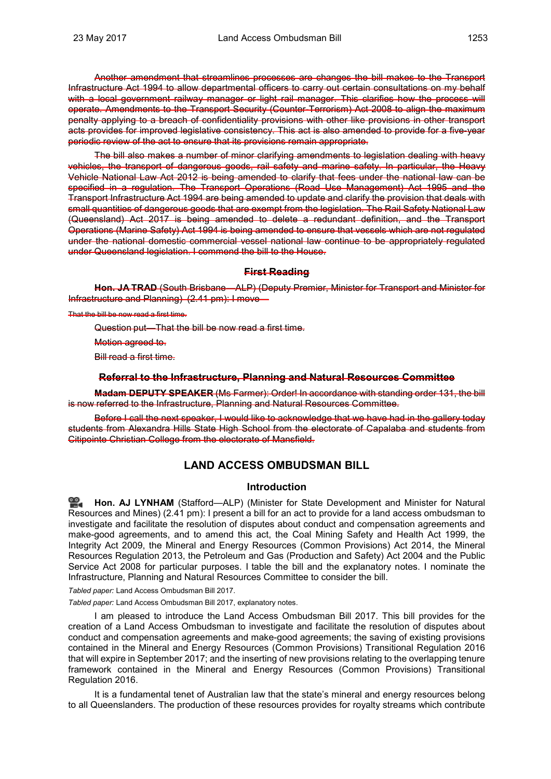Another amendment that streamlines processes are changes the bill makes to the Transport Infrastructure Act 1994 to allow departmental officers to carry out certain consultations on my behalf with a local government railway manager or light rail manager. This clarifies how the process will operate. Amendments to the Transport Security (Counter-Terrorism) Act 2008 to align the maximum penalty applying to a breach of confidentiality provisions with other like provisions in other transport acts provides for improved legislative consistency. This act is also amended to provide for a five-year periodic review of the act to ensure that its provisions remain appropriate.

The bill also makes a number of minor clarifying amendments to legislation dealing with heavy vehicles, the transport of dangerous goods, rail safety and marine safety. In particular, the Heavy Vehicle National Law Act 2012 is being amended to clarify that fees under the national law can be specified in a regulation. The Transport Operations (Road Use Management) Act 1995 and the Transport Infrastructure Act 1994 are being amended to update and clarify the provision that deals with small quantities of dangerous goods that are exempt from the legislation. The Rail Safety National Law (Queensland) Act 2017 is being amended to delete a redundant definition, and the Transport Operations (Marine Safety) Act 1994 is being amended to ensure that vessels which are not regulated under the national domestic commercial vessel national law continue to be appropriately regulated under Queensland legislation. I commend the bill to the House.

### **First Reading**

**Hon. JA TRAD** (South Brisbane—ALP) (Deputy Premier, Minister for Transport and Minister for Infrastructure and Planning) (2.41 pm): I move—

That the bill be now read a first time.

Question put—That the bill be now read a first time.

Motion agreed to.

Bill read a first time.

#### **Referral to the Infrastructure, Planning and Natural Resources Committee**

**Madam DEPUTY SPEAKER** (Ms Farmer): Order! In accordance with standing order 131, the bill is now referred to the Infrastructure, Planning and Natural Resources Committee.

Before I call the next speaker. I would like to acknowledge that we have had in the gallery today students from Alexandra Hills State High School from the electorate of Capalaba and students from Citipointe Christian College from the electorate of Mansfield.

# **LAND ACCESS OMBUDSMAN BILL**

## **Introduction**

**Hon. AJ LYNHAM** (Stafford—ALP) (Minister for State Development and Minister for Natural Resources and Mines) (2.41 pm): I present a bill for an act to provide for a land access ombudsman to investigate and facilitate the resolution of disputes about conduct and compensation agreements and make-good agreements, and to amend this act, the Coal Mining Safety and Health Act 1999, the Integrity Act 2009, the Mineral and Energy Resources (Common Provisions) Act 2014, the Mineral Resources Regulation 2013, the Petroleum and Gas (Production and Safety) Act 2004 and the Public Service Act 2008 for particular purposes. I table the bill and the explanatory notes. I nominate the Infrastructure, Planning and Natural Resources Committee to consider the bill.

#### *Tabled paper:* Land Access Ombudsman Bill 2017.

*Tabled paper:* Land Access Ombudsman Bill 2017, explanatory notes.

I am pleased to introduce the Land Access Ombudsman Bill 2017. This bill provides for the creation of a Land Access Ombudsman to investigate and facilitate the resolution of disputes about conduct and compensation agreements and make-good agreements; the saving of existing provisions contained in the Mineral and Energy Resources (Common Provisions) Transitional Regulation 2016 that will expire in September 2017; and the inserting of new provisions relating to the overlapping tenure framework contained in the Mineral and Energy Resources (Common Provisions) Transitional Regulation 2016.

It is a fundamental tenet of Australian law that the state's mineral and energy resources belong to all Queenslanders. The production of these resources provides for royalty streams which contribute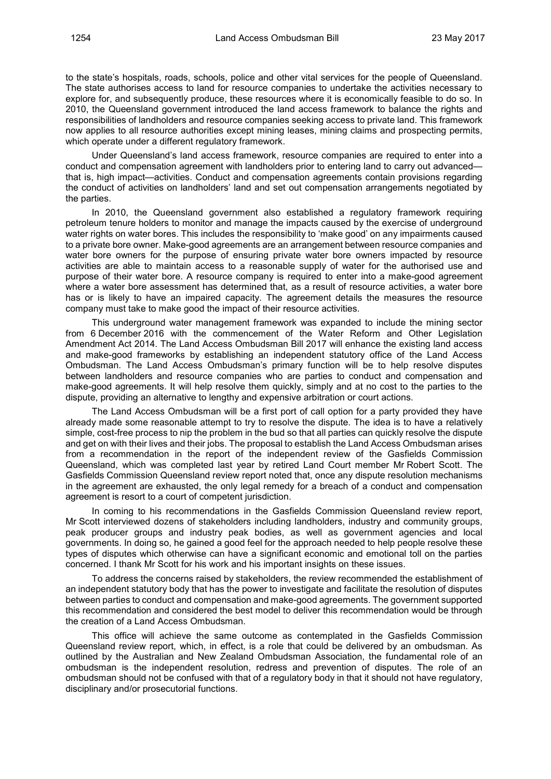to the state's hospitals, roads, schools, police and other vital services for the people of Queensland. The state authorises access to land for resource companies to undertake the activities necessary to explore for, and subsequently produce, these resources where it is economically feasible to do so. In 2010, the Queensland government introduced the land access framework to balance the rights and responsibilities of landholders and resource companies seeking access to private land. This framework now applies to all resource authorities except mining leases, mining claims and prospecting permits, which operate under a different regulatory framework.

Under Queensland's land access framework, resource companies are required to enter into a conduct and compensation agreement with landholders prior to entering land to carry out advanced that is, high impact—activities. Conduct and compensation agreements contain provisions regarding the conduct of activities on landholders' land and set out compensation arrangements negotiated by the parties.

In 2010, the Queensland government also established a regulatory framework requiring petroleum tenure holders to monitor and manage the impacts caused by the exercise of underground water rights on water bores. This includes the responsibility to 'make good' on any impairments caused to a private bore owner. Make-good agreements are an arrangement between resource companies and water bore owners for the purpose of ensuring private water bore owners impacted by resource activities are able to maintain access to a reasonable supply of water for the authorised use and purpose of their water bore. A resource company is required to enter into a make-good agreement where a water bore assessment has determined that, as a result of resource activities, a water bore has or is likely to have an impaired capacity. The agreement details the measures the resource company must take to make good the impact of their resource activities.

This underground water management framework was expanded to include the mining sector from 6 December 2016 with the commencement of the Water Reform and Other Legislation Amendment Act 2014. The Land Access Ombudsman Bill 2017 will enhance the existing land access and make-good frameworks by establishing an independent statutory office of the Land Access Ombudsman. The Land Access Ombudsman's primary function will be to help resolve disputes between landholders and resource companies who are parties to conduct and compensation and make-good agreements. It will help resolve them quickly, simply and at no cost to the parties to the dispute, providing an alternative to lengthy and expensive arbitration or court actions.

The Land Access Ombudsman will be a first port of call option for a party provided they have already made some reasonable attempt to try to resolve the dispute. The idea is to have a relatively simple, cost-free process to nip the problem in the bud so that all parties can quickly resolve the dispute and get on with their lives and their jobs. The proposal to establish the Land Access Ombudsman arises from a recommendation in the report of the independent review of the Gasfields Commission Queensland, which was completed last year by retired Land Court member Mr Robert Scott. The Gasfields Commission Queensland review report noted that, once any dispute resolution mechanisms in the agreement are exhausted, the only legal remedy for a breach of a conduct and compensation agreement is resort to a court of competent jurisdiction.

In coming to his recommendations in the Gasfields Commission Queensland review report, Mr Scott interviewed dozens of stakeholders including landholders, industry and community groups, peak producer groups and industry peak bodies, as well as government agencies and local governments. In doing so, he gained a good feel for the approach needed to help people resolve these types of disputes which otherwise can have a significant economic and emotional toll on the parties concerned. I thank Mr Scott for his work and his important insights on these issues.

To address the concerns raised by stakeholders, the review recommended the establishment of an independent statutory body that has the power to investigate and facilitate the resolution of disputes between parties to conduct and compensation and make-good agreements. The government supported this recommendation and considered the best model to deliver this recommendation would be through the creation of a Land Access Ombudsman.

This office will achieve the same outcome as contemplated in the Gasfields Commission Queensland review report, which, in effect, is a role that could be delivered by an ombudsman. As outlined by the Australian and New Zealand Ombudsman Association, the fundamental role of an ombudsman is the independent resolution, redress and prevention of disputes. The role of an ombudsman should not be confused with that of a regulatory body in that it should not have regulatory, disciplinary and/or prosecutorial functions.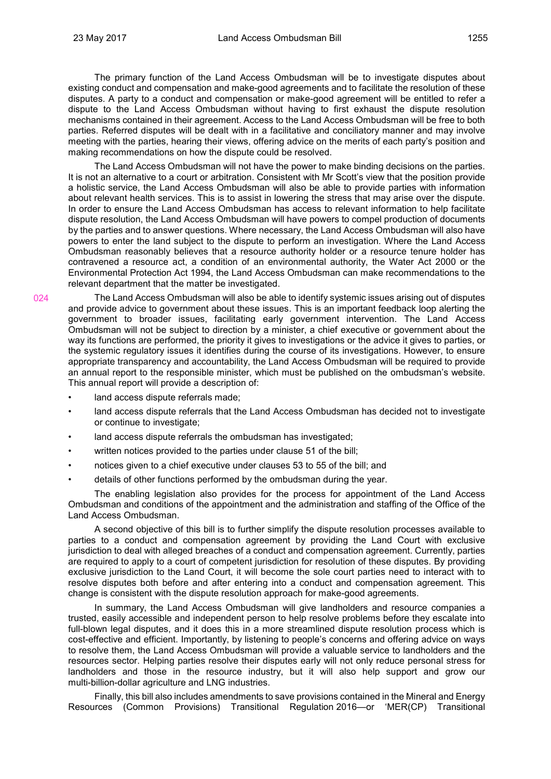024

The primary function of the Land Access Ombudsman will be to investigate disputes about existing conduct and compensation and make-good agreements and to facilitate the resolution of these disputes. A party to a conduct and compensation or make-good agreement will be entitled to refer a dispute to the Land Access Ombudsman without having to first exhaust the dispute resolution mechanisms contained in their agreement. Access to the Land Access Ombudsman will be free to both parties. Referred disputes will be dealt with in a facilitative and conciliatory manner and may involve meeting with the parties, hearing their views, offering advice on the merits of each party's position and making recommendations on how the dispute could be resolved.

The Land Access Ombudsman will not have the power to make binding decisions on the parties. It is not an alternative to a court or arbitration. Consistent with Mr Scott's view that the position provide a holistic service, the Land Access Ombudsman will also be able to provide parties with information about relevant health services. This is to assist in lowering the stress that may arise over the dispute. In order to ensure the Land Access Ombudsman has access to relevant information to help facilitate dispute resolution, the Land Access Ombudsman will have powers to compel production of documents by the parties and to answer questions. Where necessary, the Land Access Ombudsman will also have powers to enter the land subject to the dispute to perform an investigation. Where the Land Access Ombudsman reasonably believes that a resource authority holder or a resource tenure holder has contravened a resource act, a condition of an environmental authority, the Water Act 2000 or the Environmental Protection Act 1994, the Land Access Ombudsman can make recommendations to the relevant department that the matter be investigated.

The Land Access Ombudsman will also be able to identify systemic issues arising out of disputes and provide advice to government about these issues. This is an important feedback loop alerting the government to broader issues, facilitating early government intervention. The Land Access Ombudsman will not be subject to direction by a minister, a chief executive or government about the way its functions are performed, the priority it gives to investigations or the advice it gives to parties, or the systemic regulatory issues it identifies during the course of its investigations. However, to ensure appropriate transparency and accountability, the Land Access Ombudsman will be required to provide an annual report to the responsible minister, which must be published on the ombudsman's website. This annual report will provide a description of:

- land access dispute referrals made;
- land access dispute referrals that the Land Access Ombudsman has decided not to investigate or continue to investigate;
- land access dispute referrals the ombudsman has investigated;
- written notices provided to the parties under clause 51 of the bill;
- notices given to a chief executive under clauses 53 to 55 of the bill; and
- details of other functions performed by the ombudsman during the year.

The enabling legislation also provides for the process for appointment of the Land Access Ombudsman and conditions of the appointment and the administration and staffing of the Office of the Land Access Ombudsman.

A second objective of this bill is to further simplify the dispute resolution processes available to parties to a conduct and compensation agreement by providing the Land Court with exclusive jurisdiction to deal with alleged breaches of a conduct and compensation agreement. Currently, parties are required to apply to a court of competent jurisdiction for resolution of these disputes. By providing exclusive jurisdiction to the Land Court, it will become the sole court parties need to interact with to resolve disputes both before and after entering into a conduct and compensation agreement. This change is consistent with the dispute resolution approach for make-good agreements.

In summary, the Land Access Ombudsman will give landholders and resource companies a trusted, easily accessible and independent person to help resolve problems before they escalate into full-blown legal disputes, and it does this in a more streamlined dispute resolution process which is cost-effective and efficient. Importantly, by listening to people's concerns and offering advice on ways to resolve them, the Land Access Ombudsman will provide a valuable service to landholders and the resources sector. Helping parties resolve their disputes early will not only reduce personal stress for landholders and those in the resource industry, but it will also help support and grow our multi-billion-dollar agriculture and LNG industries.

Finally, this bill also includes amendments to save provisions contained in the Mineral and Energy Resources (Common Provisions) Transitional Regulation 2016—or 'MER(CP) Transitional